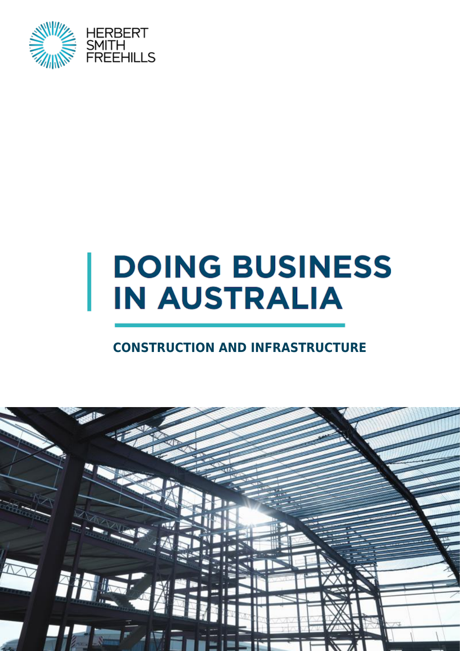

# **DOING BUSINESS IN AUSTRALIA**

### **CONSTRUCTION AND INFRASTRUCTURE**

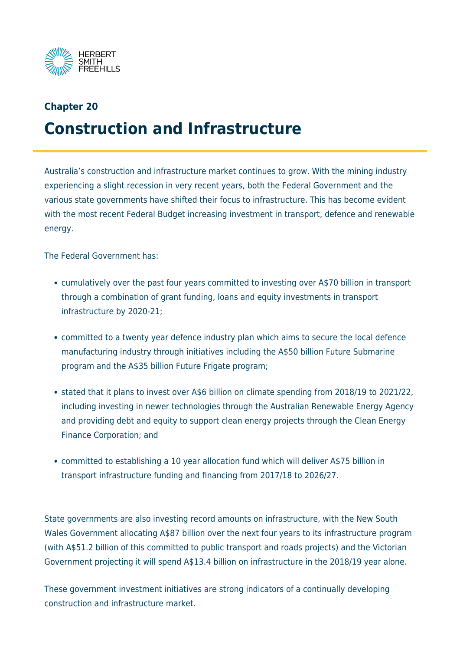

## **Chapter 20 Construction and Infrastructure**

Australia's construction and infrastructure market continues to grow. With the mining industry experiencing a slight recession in very recent years, both the Federal Government and the various state governments have shifted their focus to infrastructure. This has become evident with the most recent Federal Budget increasing investment in transport, defence and renewable energy.

The Federal Government has:

- cumulatively over the past four years committed to investing over A\$70 billion in transport through a combination of grant funding, loans and equity investments in transport infrastructure by 2020-21;
- committed to a twenty year defence industry plan which aims to secure the local defence manufacturing industry through initiatives including the A\$50 billion Future Submarine program and the A\$35 billion Future Frigate program;
- stated that it plans to invest over A\$6 billion on climate spending from 2018/19 to 2021/22, including investing in newer technologies through the Australian Renewable Energy Agency and providing debt and equity to support clean energy projects through the Clean Energy Finance Corporation; and
- committed to establishing a 10 year allocation fund which will deliver A\$75 billion in transport infrastructure funding and financing from 2017/18 to 2026/27.

State governments are also investing record amounts on infrastructure, with the New South Wales Government allocating A\$87 billion over the next four years to its infrastructure program (with A\$51.2 billion of this committed to public transport and roads projects) and the Victorian Government projecting it will spend A\$13.4 billion on infrastructure in the 2018/19 year alone.

These government investment initiatives are strong indicators of a continually developing construction and infrastructure market.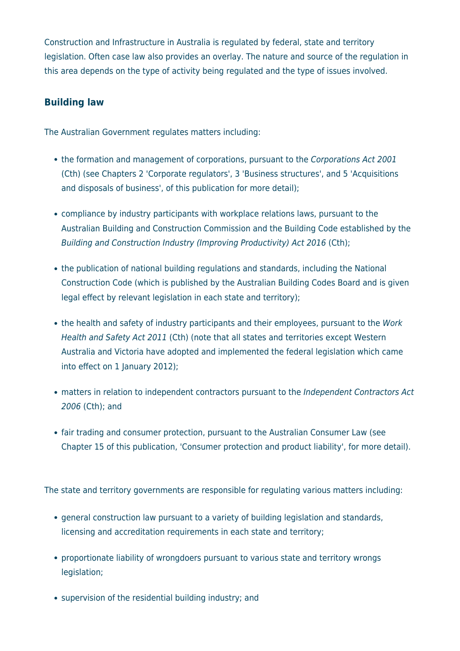Construction and Infrastructure in Australia is regulated by federal, state and territory legislation. Often case law also provides an overlay. The nature and source of the regulation in this area depends on the type of activity being regulated and the type of issues involved.

#### **Building law**

The Australian Government regulates matters including:

- the formation and management of corporations, pursuant to the Corporations Act 2001 (Cth) (see Chapters 2 'Corporate regulators', 3 'Business structures', and 5 'Acquisitions and disposals of business', of this publication for more detail);
- compliance by industry participants with workplace relations laws, pursuant to the Australian Building and Construction Commission and the Building Code established by the Building and Construction Industry (Improving Productivity) Act 2016 (Cth);
- the publication of national building regulations and standards, including the National Construction Code (which is published by the Australian Building Codes Board and is given legal effect by relevant legislation in each state and territory);
- the health and safety of industry participants and their employees, pursuant to the Work Health and Safety Act 2011 (Cth) (note that all states and territories except Western Australia and Victoria have adopted and implemented the federal legislation which came into effect on 1 January 2012);
- matters in relation to independent contractors pursuant to the Independent Contractors Act 2006 (Cth); and
- fair trading and consumer protection, pursuant to the Australian Consumer Law (see Chapter 15 of this publication, 'Consumer protection and product liability', for more detail).

The state and territory governments are responsible for regulating various matters including:

- general construction law pursuant to a variety of building legislation and standards, licensing and accreditation requirements in each state and territory;
- proportionate liability of wrongdoers pursuant to various state and territory wrongs legislation;
- supervision of the residential building industry; and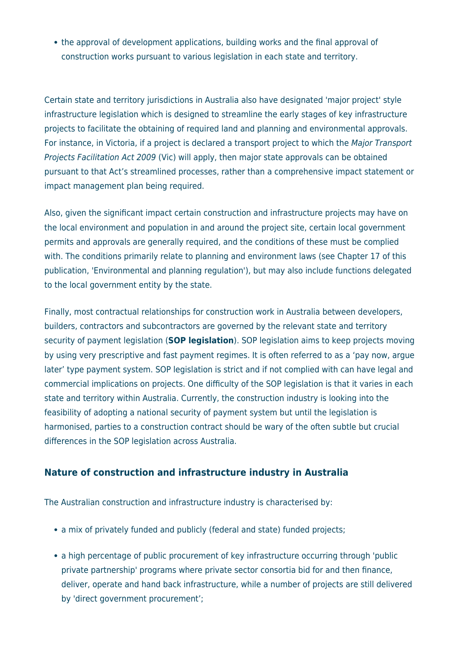• the approval of development applications, building works and the final approval of construction works pursuant to various legislation in each state and territory.

Certain state and territory jurisdictions in Australia also have designated 'major project' style infrastructure legislation which is designed to streamline the early stages of key infrastructure projects to facilitate the obtaining of required land and planning and environmental approvals. For instance, in Victoria, if a project is declared a transport project to which the Major Transport Projects Facilitation Act 2009 (Vic) will apply, then major state approvals can be obtained pursuant to that Act's streamlined processes, rather than a comprehensive impact statement or impact management plan being required.

Also, given the significant impact certain construction and infrastructure projects may have on the local environment and population in and around the project site, certain local government permits and approvals are generally required, and the conditions of these must be complied with. The conditions primarily relate to planning and environment laws (see Chapter 17 of this publication, 'Environmental and planning regulation'), but may also include functions delegated to the local government entity by the state.

Finally, most contractual relationships for construction work in Australia between developers, builders, contractors and subcontractors are governed by the relevant state and territory security of payment legislation (**SOP legislation**). SOP legislation aims to keep projects moving by using very prescriptive and fast payment regimes. It is often referred to as a 'pay now, argue later' type payment system. SOP legislation is strict and if not complied with can have legal and commercial implications on projects. One difficulty of the SOP legislation is that it varies in each state and territory within Australia. Currently, the construction industry is looking into the feasibility of adopting a national security of payment system but until the legislation is harmonised, parties to a construction contract should be wary of the often subtle but crucial differences in the SOP legislation across Australia.

#### **Nature of construction and infrastructure industry in Australia**

The Australian construction and infrastructure industry is characterised by:

- a mix of privately funded and publicly (federal and state) funded projects;
- a high percentage of public procurement of key infrastructure occurring through 'public private partnership' programs where private sector consortia bid for and then finance, deliver, operate and hand back infrastructure, while a number of projects are still delivered by 'direct government procurement';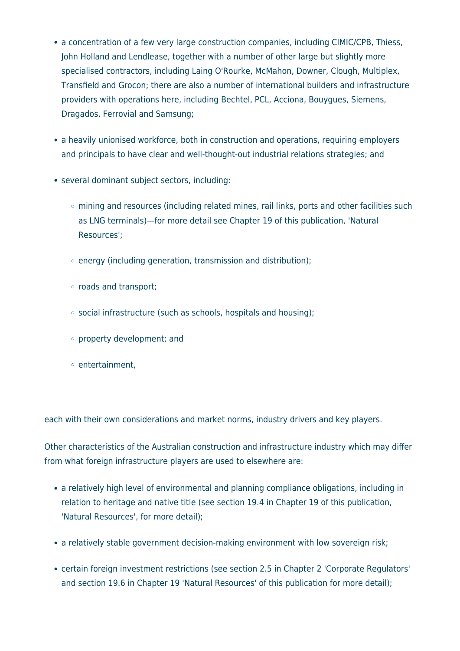- a concentration of a few very large construction companies, including CIMIC/CPB, Thiess, John Holland and Lendlease, together with a number of other large but slightly more specialised contractors, including Laing O'Rourke, McMahon, Downer, Clough, Multiplex, Transfield and Grocon; there are also a number of international builders and infrastructure providers with operations here, including Bechtel, PCL, Acciona, Bouygues, Siemens, Dragados, Ferrovial and Samsung;
- a heavily unionised workforce, both in construction and operations, requiring employers and principals to have clear and well-thought-out industrial relations strategies; and
- several dominant subject sectors, including:
	- mining and resources (including related mines, rail links, ports and other facilities such as LNG terminals)—for more detail see Chapter 19 of this publication, 'Natural Resources';
	- $\circ$  energy (including generation, transmission and distribution);
	- roads and transport;
	- social infrastructure (such as schools, hospitals and housing);
	- property development; and
	- $\circ$  entertainment.

each with their own considerations and market norms, industry drivers and key players.

Other characteristics of the Australian construction and infrastructure industry which may differ from what foreign infrastructure players are used to elsewhere are:

- a relatively high level of environmental and planning compliance obligations, including in relation to heritage and native title (see section 19.4 in Chapter 19 of this publication, 'Natural Resources', for more detail);
- a relatively stable government decision-making environment with low sovereign risk;
- certain foreign investment restrictions (see section 2.5 in Chapter 2 'Corporate Regulators' and section 19.6 in Chapter 19 'Natural Resources' of this publication for more detail);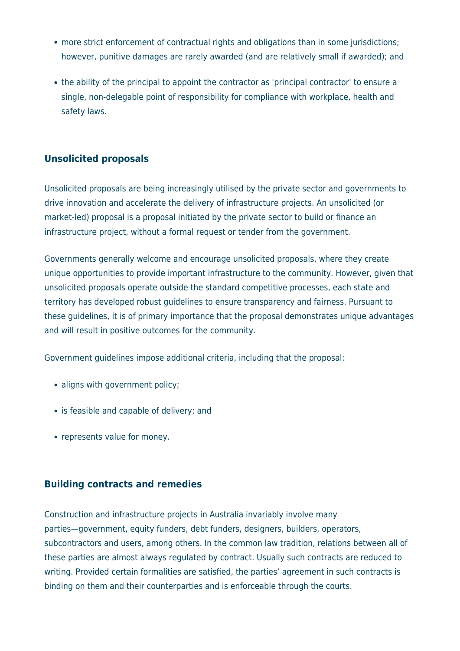- more strict enforcement of contractual rights and obligations than in some jurisdictions; however, punitive damages are rarely awarded (and are relatively small if awarded); and
- the ability of the principal to appoint the contractor as 'principal contractor' to ensure a single, non-delegable point of responsibility for compliance with workplace, health and safety laws.

#### **Unsolicited proposals**

Unsolicited proposals are being increasingly utilised by the private sector and governments to drive innovation and accelerate the delivery of infrastructure projects. An unsolicited (or market-led) proposal is a proposal initiated by the private sector to build or finance an infrastructure project, without a formal request or tender from the government.

Governments generally welcome and encourage unsolicited proposals, where they create unique opportunities to provide important infrastructure to the community. However, given that unsolicited proposals operate outside the standard competitive processes, each state and territory has developed robust guidelines to ensure transparency and fairness. Pursuant to these guidelines, it is of primary importance that the proposal demonstrates unique advantages and will result in positive outcomes for the community.

Government guidelines impose additional criteria, including that the proposal:

- aligns with government policy;
- is feasible and capable of delivery; and
- represents value for money.

#### **Building contracts and remedies**

Construction and infrastructure projects in Australia invariably involve many parties—government, equity funders, debt funders, designers, builders, operators, subcontractors and users, among others. In the common law tradition, relations between all of these parties are almost always regulated by contract. Usually such contracts are reduced to writing. Provided certain formalities are satisfied, the parties' agreement in such contracts is binding on them and their counterparties and is enforceable through the courts.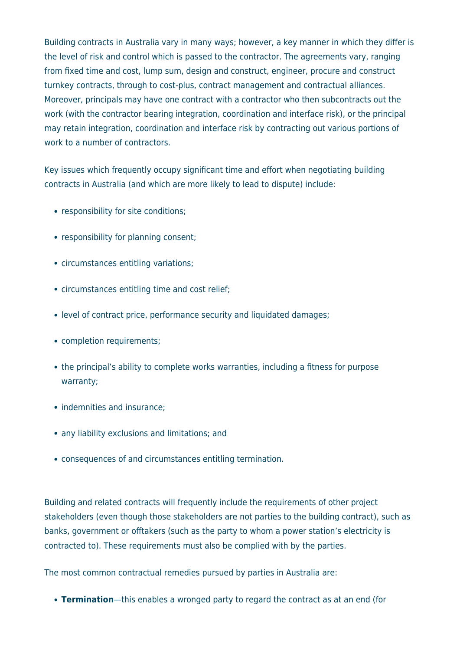Building contracts in Australia vary in many ways; however, a key manner in which they differ is the level of risk and control which is passed to the contractor. The agreements vary, ranging from fixed time and cost, lump sum, design and construct, engineer, procure and construct turnkey contracts, through to cost-plus, contract management and contractual alliances. Moreover, principals may have one contract with a contractor who then subcontracts out the work (with the contractor bearing integration, coordination and interface risk), or the principal may retain integration, coordination and interface risk by contracting out various portions of work to a number of contractors.

Key issues which frequently occupy significant time and effort when negotiating building contracts in Australia (and which are more likely to lead to dispute) include:

- responsibility for site conditions;
- responsibility for planning consent;
- circumstances entitling variations;
- circumstances entitling time and cost relief;
- level of contract price, performance security and liquidated damages;
- completion requirements;
- the principal's ability to complete works warranties, including a fitness for purpose warranty;
- indemnities and insurance;
- any liability exclusions and limitations; and
- consequences of and circumstances entitling termination.

Building and related contracts will frequently include the requirements of other project stakeholders (even though those stakeholders are not parties to the building contract), such as banks, government or offtakers (such as the party to whom a power station's electricity is contracted to). These requirements must also be complied with by the parties.

The most common contractual remedies pursued by parties in Australia are:

**Termination**—this enables a wronged party to regard the contract as at an end (for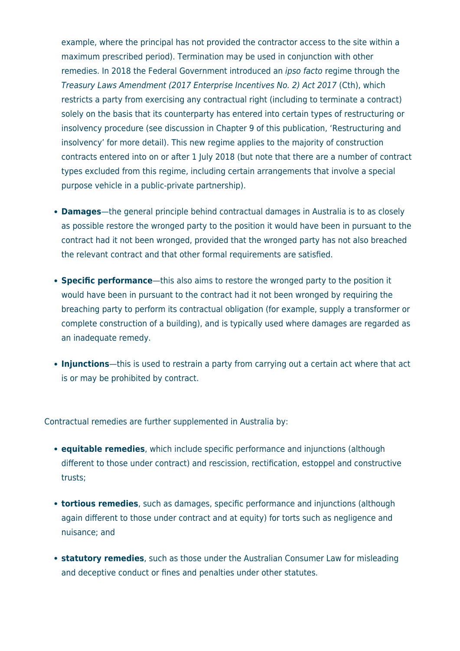example, where the principal has not provided the contractor access to the site within a maximum prescribed period). Termination may be used in conjunction with other remedies. In 2018 the Federal Government introduced an ipso facto regime through the Treasury Laws Amendment (2017 Enterprise Incentives No. 2) Act 2017 (Cth), which restricts a party from exercising any contractual right (including to terminate a contract) solely on the basis that its counterparty has entered into certain types of restructuring or insolvency procedure (see discussion in Chapter 9 of this publication, 'Restructuring and insolvency' for more detail). This new regime applies to the majority of construction contracts entered into on or after 1 July 2018 (but note that there are a number of contract types excluded from this regime, including certain arrangements that involve a special purpose vehicle in a public-private partnership).

- **Damages**—the general principle behind contractual damages in Australia is to as closely as possible restore the wronged party to the position it would have been in pursuant to the contract had it not been wronged, provided that the wronged party has not also breached the relevant contract and that other formal requirements are satisfied.
- **Specific performance**—this also aims to restore the wronged party to the position it would have been in pursuant to the contract had it not been wronged by requiring the breaching party to perform its contractual obligation (for example, supply a transformer or complete construction of a building), and is typically used where damages are regarded as an inadequate remedy.
- **Injunctions**—this is used to restrain a party from carrying out a certain act where that act is or may be prohibited by contract.

Contractual remedies are further supplemented in Australia by:

- **equitable remedies**, which include specific performance and injunctions (although different to those under contract) and rescission, rectification, estoppel and constructive trusts;
- **tortious remedies**, such as damages, specific performance and injunctions (although again different to those under contract and at equity) for torts such as negligence and nuisance; and
- **statutory remedies**, such as those under the Australian Consumer Law for misleading and deceptive conduct or fines and penalties under other statutes.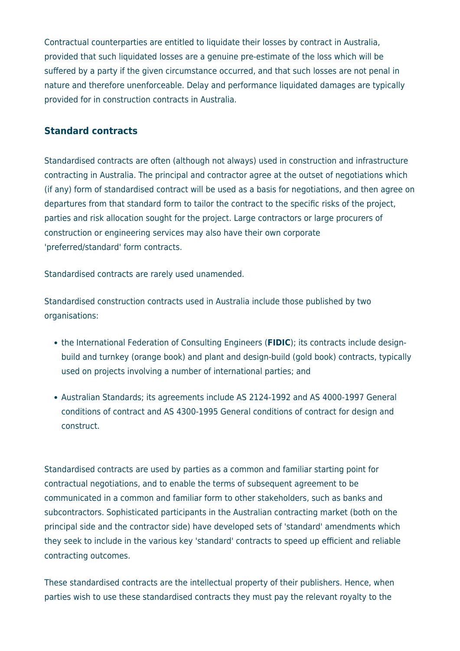Contractual counterparties are entitled to liquidate their losses by contract in Australia, provided that such liquidated losses are a genuine pre-estimate of the loss which will be suffered by a party if the given circumstance occurred, and that such losses are not penal in nature and therefore unenforceable. Delay and performance liquidated damages are typically provided for in construction contracts in Australia.

#### **Standard contracts**

Standardised contracts are often (although not always) used in construction and infrastructure contracting in Australia. The principal and contractor agree at the outset of negotiations which (if any) form of standardised contract will be used as a basis for negotiations, and then agree on departures from that standard form to tailor the contract to the specific risks of the project, parties and risk allocation sought for the project. Large contractors or large procurers of construction or engineering services may also have their own corporate 'preferred/standard' form contracts.

Standardised contracts are rarely used unamended.

Standardised construction contracts used in Australia include those published by two organisations:

- the International Federation of Consulting Engineers (**FIDIC**); its contracts include designbuild and turnkey (orange book) and plant and design-build (gold book) contracts, typically used on projects involving a number of international parties; and
- Australian Standards; its agreements include AS 2124-1992 and AS 4000-1997 General conditions of contract and AS 4300-1995 General conditions of contract for design and construct.

Standardised contracts are used by parties as a common and familiar starting point for contractual negotiations, and to enable the terms of subsequent agreement to be communicated in a common and familiar form to other stakeholders, such as banks and subcontractors. Sophisticated participants in the Australian contracting market (both on the principal side and the contractor side) have developed sets of 'standard' amendments which they seek to include in the various key 'standard' contracts to speed up efficient and reliable contracting outcomes.

These standardised contracts are the intellectual property of their publishers. Hence, when parties wish to use these standardised contracts they must pay the relevant royalty to the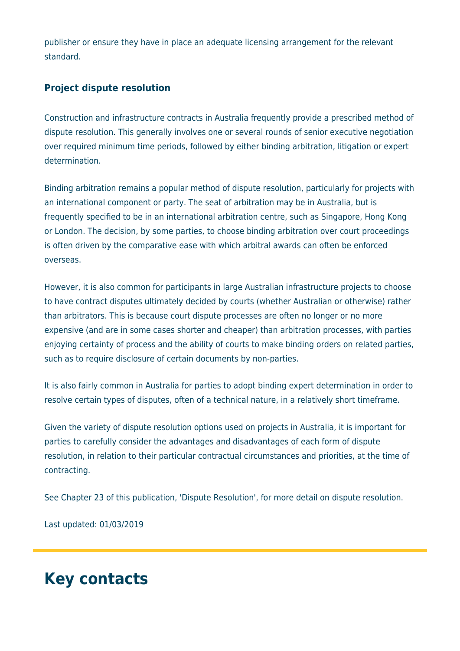publisher or ensure they have in place an adequate licensing arrangement for the relevant standard.

#### **Project dispute resolution**

Construction and infrastructure contracts in Australia frequently provide a prescribed method of dispute resolution. This generally involves one or several rounds of senior executive negotiation over required minimum time periods, followed by either binding arbitration, litigation or expert determination.

Binding arbitration remains a popular method of dispute resolution, particularly for projects with an international component or party. The seat of arbitration may be in Australia, but is frequently specified to be in an international arbitration centre, such as Singapore, Hong Kong or London. The decision, by some parties, to choose binding arbitration over court proceedings is often driven by the comparative ease with which arbitral awards can often be enforced overseas.

However, it is also common for participants in large Australian infrastructure projects to choose to have contract disputes ultimately decided by courts (whether Australian or otherwise) rather than arbitrators. This is because court dispute processes are often no longer or no more expensive (and are in some cases shorter and cheaper) than arbitration processes, with parties enjoying certainty of process and the ability of courts to make binding orders on related parties, such as to require disclosure of certain documents by non-parties.

It is also fairly common in Australia for parties to adopt binding expert determination in order to resolve certain types of disputes, often of a technical nature, in a relatively short timeframe.

Given the variety of dispute resolution options used on projects in Australia, it is important for parties to carefully consider the advantages and disadvantages of each form of dispute resolution, in relation to their particular contractual circumstances and priorities, at the time of contracting.

See Chapter 23 of this publication, 'Dispute Resolution', for more detail on dispute resolution.

Last updated: 01/03/2019

## **Key contacts**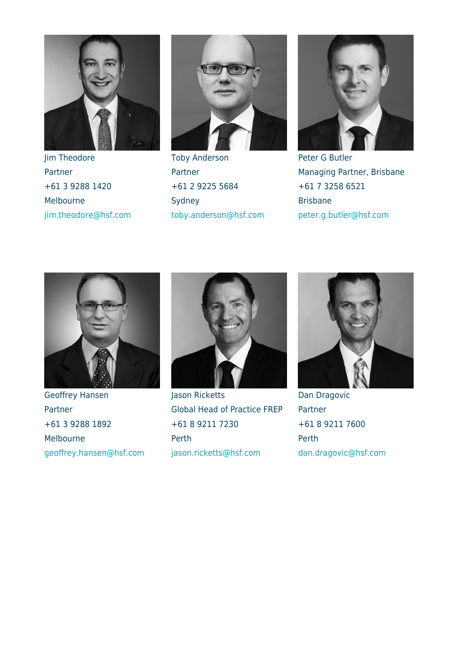

Jim Theodore Partner +61 3 9288 1420 Melbourne [jim.theodore@hsf.com](mailto:jim.theodore@hsf.com)



Toby Anderson Partner +61 2 9225 5684 Sydney [toby.anderson@hsf.com](mailto:toby.anderson@hsf.com)



Peter G Butler Managing Partner, Brisbane +61 7 3258 6521 Brisbane [peter.g.butler@hsf.com](mailto:peter.g.butler@hsf.com)



Geoffrey Hansen Partner +61 3 9288 1892 Melbourne [geoffrey.hansen@hsf.com](mailto:geoffrey.hansen@hsf.com)



Jason Ricketts Global Head of Practice FREP +61 8 9211 7230 Perth [jason.ricketts@hsf.com](mailto:jason.ricketts@hsf.com)



Dan Dragovic Partner +61 8 9211 7600 Perth [dan.dragovic@hsf.com](mailto:dan.dragovic@hsf.com)